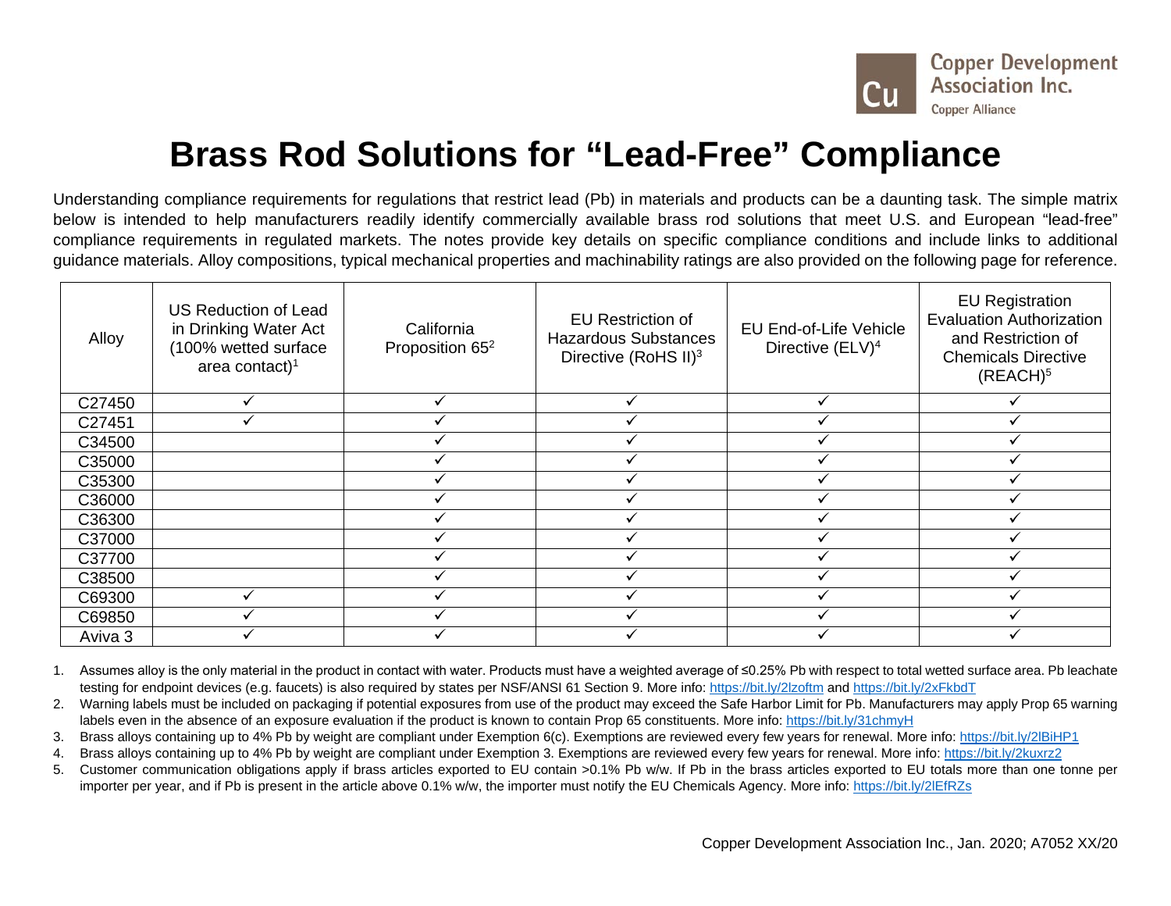

## **Brass Rod Solutions for "Lead-Free" Compliance**

Understanding compliance requirements for regulations that restrict lead (Pb) in materials and products can be a daunting task. The simple matrix below is intended to help manufacturers readily identify commercially available brass rod solutions that meet U.S. and European "lead-free" compliance requirements in regulated markets. The notes provide key details on specific compliance conditions and include links to additional guidance materials. Alloy compositions, typical mechanical properties and machinability ratings are also provided on the following page for reference.

| Alloy   | <b>US Reduction of Lead</b><br>in Drinking Water Act<br>(100% wetted surface<br>area contact) <sup>1</sup> | California<br>Proposition 65 <sup>2</sup> | <b>EU Restriction of</b><br><b>Hazardous Substances</b><br>Directive (RoHS II) <sup>3</sup> | <b>EU End-of-Life Vehicle</b><br>Directive (ELV) <sup>4</sup> | <b>EU Registration</b><br><b>Evaluation Authorization</b><br>and Restriction of<br><b>Chemicals Directive</b><br>(REACH) <sup>5</sup> |  |
|---------|------------------------------------------------------------------------------------------------------------|-------------------------------------------|---------------------------------------------------------------------------------------------|---------------------------------------------------------------|---------------------------------------------------------------------------------------------------------------------------------------|--|
| C27450  |                                                                                                            |                                           |                                                                                             |                                                               |                                                                                                                                       |  |
| C27451  |                                                                                                            |                                           |                                                                                             |                                                               |                                                                                                                                       |  |
| C34500  |                                                                                                            |                                           |                                                                                             |                                                               |                                                                                                                                       |  |
| C35000  |                                                                                                            |                                           |                                                                                             |                                                               |                                                                                                                                       |  |
| C35300  |                                                                                                            |                                           |                                                                                             |                                                               |                                                                                                                                       |  |
| C36000  |                                                                                                            |                                           |                                                                                             |                                                               |                                                                                                                                       |  |
| C36300  |                                                                                                            |                                           |                                                                                             |                                                               |                                                                                                                                       |  |
| C37000  |                                                                                                            |                                           |                                                                                             |                                                               |                                                                                                                                       |  |
| C37700  |                                                                                                            |                                           |                                                                                             |                                                               |                                                                                                                                       |  |
| C38500  |                                                                                                            |                                           |                                                                                             |                                                               |                                                                                                                                       |  |
| C69300  |                                                                                                            |                                           |                                                                                             |                                                               |                                                                                                                                       |  |
| C69850  |                                                                                                            |                                           |                                                                                             |                                                               |                                                                                                                                       |  |
| Aviva 3 |                                                                                                            |                                           |                                                                                             |                                                               |                                                                                                                                       |  |

1. Assumes alloy is the only material in the product in contact with water. Products must have a weighted average of ≤0.25% Pb with respect to total wetted surface area. Pb leachate testing for endpoint devices (e.g. faucets) is also required by states per NSF/ANSI 61 Section 9. More info:<https://bit.ly/2lzoftm> and<https://bit.ly/2xFkbdT>

- 2. Warning labels must be included on packaging if potential exposures from use of the product may exceed the Safe Harbor Limit for Pb. Manufacturers may apply Prop 65 warning labels even in the absence of an exposure evaluation if the product is known to contain Prop 65 constituents. More info:<https://bit.ly/31chmyH>
- 3. Brass alloys containing up to 4% Pb by weight are compliant under Exemption 6(c). Exemptions are reviewed every few years for renewal. More info:<https://bit.ly/2lBiHP1>
- 4. Brass alloys containing up to 4% Pb by weight are compliant under Exemption 3. Exemptions are reviewed every few years for renewal. More info:<https://bit.ly/2kuxrz2>
- 5. Customer communication obligations apply if brass articles exported to EU contain >0.1% Pb w/w. If Pb in the brass articles exported to EU totals more than one tonne per importer per year, and if Pb is present in the article above 0.1% w/w, the importer must notify the EU Chemicals Agency. More info:<https://bit.ly/2lEfRZs>